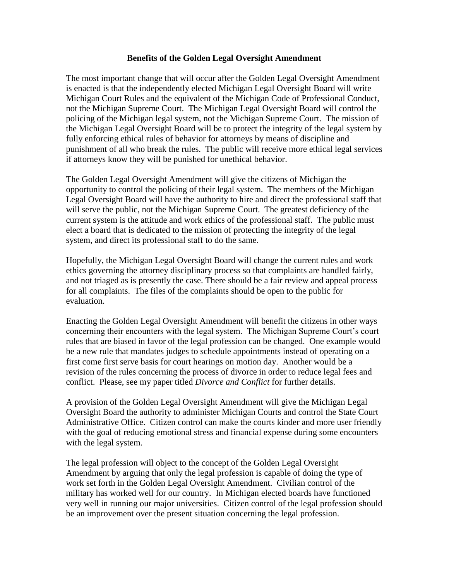## **Benefits of the Golden Legal Oversight Amendment**

The most important change that will occur after the Golden Legal Oversight Amendment is enacted is that the independently elected Michigan Legal Oversight Board will write Michigan Court Rules and the equivalent of the Michigan Code of Professional Conduct, not the Michigan Supreme Court. The Michigan Legal Oversight Board will control the policing of the Michigan legal system, not the Michigan Supreme Court. The mission of the Michigan Legal Oversight Board will be to protect the integrity of the legal system by fully enforcing ethical rules of behavior for attorneys by means of discipline and punishment of all who break the rules. The public will receive more ethical legal services if attorneys know they will be punished for unethical behavior.

The Golden Legal Oversight Amendment will give the citizens of Michigan the opportunity to control the policing of their legal system. The members of the Michigan Legal Oversight Board will have the authority to hire and direct the professional staff that will serve the public, not the Michigan Supreme Court. The greatest deficiency of the current system is the attitude and work ethics of the professional staff. The public must elect a board that is dedicated to the mission of protecting the integrity of the legal system, and direct its professional staff to do the same.

Hopefully, the Michigan Legal Oversight Board will change the current rules and work ethics governing the attorney disciplinary process so that complaints are handled fairly, and not triaged as is presently the case. There should be a fair review and appeal process for all complaints. The files of the complaints should be open to the public for evaluation.

Enacting the Golden Legal Oversight Amendment will benefit the citizens in other ways concerning their encounters with the legal system. The Michigan Supreme Court's court rules that are biased in favor of the legal profession can be changed. One example would be a new rule that mandates judges to schedule appointments instead of operating on a first come first serve basis for court hearings on motion day. Another would be a revision of the rules concerning the process of divorce in order to reduce legal fees and conflict. Please, see my paper titled *Divorce and Conflict* for further details.

A provision of the Golden Legal Oversight Amendment will give the Michigan Legal Oversight Board the authority to administer Michigan Courts and control the State Court Administrative Office. Citizen control can make the courts kinder and more user friendly with the goal of reducing emotional stress and financial expense during some encounters with the legal system.

The legal profession will object to the concept of the Golden Legal Oversight Amendment by arguing that only the legal profession is capable of doing the type of work set forth in the Golden Legal Oversight Amendment. Civilian control of the military has worked well for our country. In Michigan elected boards have functioned very well in running our major universities. Citizen control of the legal profession should be an improvement over the present situation concerning the legal profession.